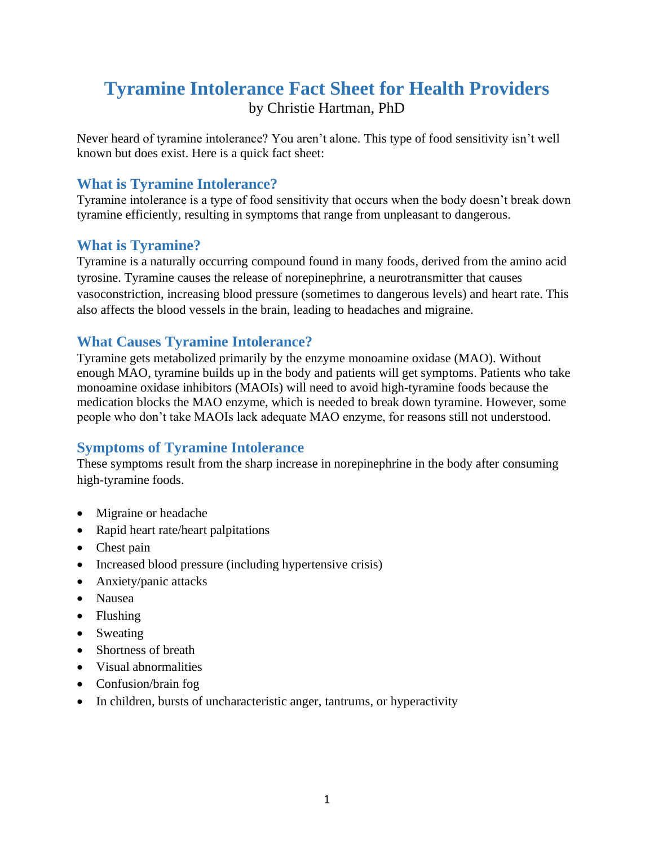# **Tyramine Intolerance Fact Sheet for Health Providers** by Christie Hartman, PhD

Never heard of tyramine intolerance? You aren't alone. This type of food sensitivity isn't well known but does exist. Here is a quick fact sheet:

# **What is Tyramine Intolerance?**

Tyramine intolerance is a type of food sensitivity that occurs when the body doesn't break down tyramine efficiently, resulting in symptoms that range from unpleasant to dangerous.

## **What is Tyramine?**

Tyramine is a naturally occurring compound found in many foods, derived from the amino acid tyrosine. Tyramine causes the release of norepinephrine, a neurotransmitter that causes vasoconstriction, increasing blood pressure (sometimes to dangerous levels) and heart rate. This also affects the blood vessels in the brain, leading to headaches and migraine.

### **What Causes Tyramine Intolerance?**

Tyramine gets metabolized primarily by the enzyme monoamine oxidase (MAO). Without enough MAO, tyramine builds up in the body and patients will get symptoms. Patients who take monoamine oxidase inhibitors (MAOIs) will need to avoid high-tyramine foods because the medication blocks the MAO enzyme, which is needed to break down tyramine. However, some people who don't take MAOIs lack adequate MAO enzyme, for reasons still not understood.

## **Symptoms of Tyramine Intolerance**

These symptoms result from the sharp increase in norepinephrine in the body after consuming high-tyramine foods.

- Migraine or headache
- Rapid heart rate/heart palpitations
- Chest pain
- Increased blood pressure (including hypertensive crisis)
- Anxiety/panic attacks
- Nausea
- Flushing
- Sweating
- Shortness of breath
- Visual abnormalities
- Confusion/brain fog
- In children, bursts of uncharacteristic anger, tantrums, or hyperactivity